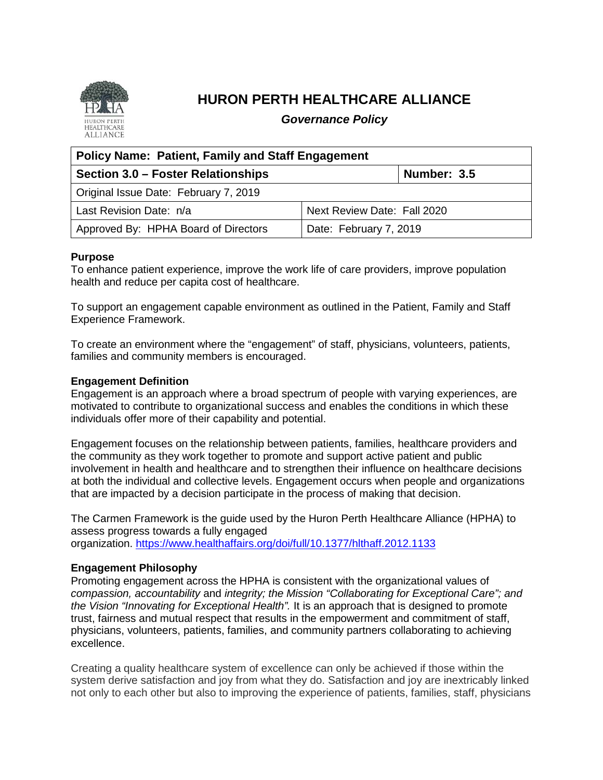

# **HURON PERTH HEALTHCARE ALLIANCE**

*Governance Policy*

| <b>Policy Name: Patient, Family and Staff Engagement</b> |                             |
|----------------------------------------------------------|-----------------------------|
| Section 3.0 – Foster Relationships                       | Number: 3.5                 |
| Original Issue Date: February 7, 2019                    |                             |
| Last Revision Date: n/a                                  | Next Review Date: Fall 2020 |
| Approved By: HPHA Board of Directors                     | Date: February 7, 2019      |

#### **Purpose**

To enhance patient experience, improve the work life of care providers, improve population health and reduce per capita cost of healthcare.

To support an engagement capable environment as outlined in the Patient, Family and Staff Experience Framework.

To create an environment where the "engagement" of staff, physicians, volunteers, patients, families and community members is encouraged.

# **Engagement Definition**

Engagement is an approach where a broad spectrum of people with varying experiences, are motivated to contribute to organizational success and enables the conditions in which these individuals offer more of their capability and potential.

Engagement focuses on the relationship between patients, families, healthcare providers and the community as they work together to promote and support active patient and public involvement in health and healthcare and to strengthen their influence on healthcare decisions at both the individual and collective levels. Engagement occurs when people and organizations that are impacted by a decision participate in the process of making that decision.

The Carmen Framework is the guide used by the Huron Perth Healthcare Alliance (HPHA) to assess progress towards a fully engaged organization.<https://www.healthaffairs.org/doi/full/10.1377/hlthaff.2012.1133>

# **Engagement Philosophy**

Promoting engagement across the HPHA is consistent with the organizational values of *compassion, accountability* and *integrity; the Mission "Collaborating for Exceptional Care"; and the Vision "Innovating for Exceptional Health".* It is an approach that is designed to promote trust, fairness and mutual respect that results in the empowerment and commitment of staff, physicians, volunteers, patients, families, and community partners collaborating to achieving excellence.

Creating a quality healthcare system of excellence can only be achieved if those within the system derive satisfaction and joy from what they do. Satisfaction and joy are inextricably linked not only to each other but also to improving the experience of patients, families, staff, physicians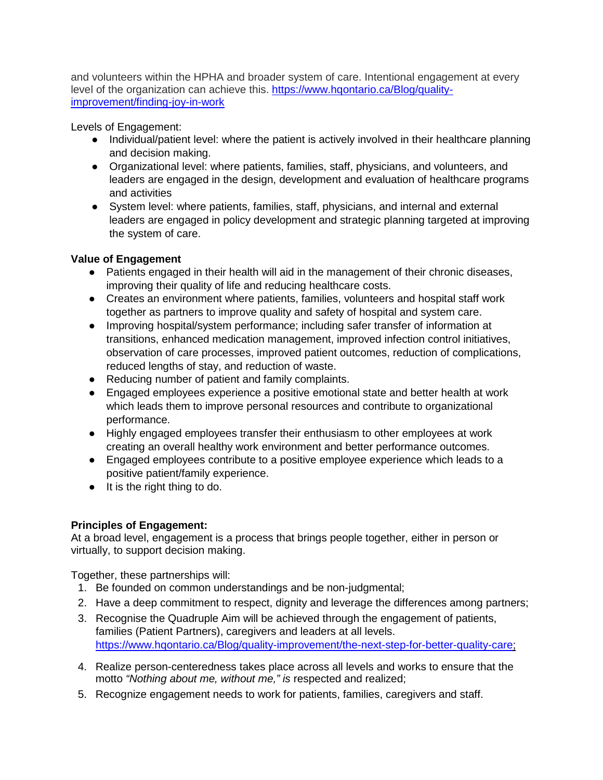and volunteers within the HPHA and broader system of care. Intentional engagement at every level of the organization can achieve this. [https://www.hqontario.ca/Blog/quality](https://www.hqontario.ca/Blog/quality-improvement/finding-joy-in-work)[improvement/finding-joy-in-work](https://www.hqontario.ca/Blog/quality-improvement/finding-joy-in-work) 

Levels of Engagement:

- Individual/patient level: where the patient is actively involved in their healthcare planning and decision making.
- Organizational level: where patients, families, staff, physicians, and volunteers, and leaders are engaged in the design, development and evaluation of healthcare programs and activities
- System level: where patients, families, staff, physicians, and internal and external leaders are engaged in policy development and strategic planning targeted at improving the system of care.

# **Value of Engagement**

- Patients engaged in their health will aid in the management of their chronic diseases, improving their quality of life and reducing healthcare costs.
- Creates an environment where patients, families, volunteers and hospital staff work together as partners to improve quality and safety of hospital and system care.
- Improving hospital/system performance; including safer transfer of information at transitions, enhanced medication management, improved infection control initiatives, observation of care processes, improved patient outcomes, reduction of complications, reduced lengths of stay, and reduction of waste.
- Reducing number of patient and family complaints.
- Engaged employees experience a positive emotional state and better health at work which leads them to improve personal resources and contribute to organizational performance.
- Highly engaged employees transfer their enthusiasm to other employees at work creating an overall healthy work environment and better performance outcomes.
- Engaged employees contribute to a positive employee experience which leads to a positive patient/family experience.
- It is the right thing to do.

# **Principles of Engagement:**

At a broad level, engagement is a process that brings people together, either in person or virtually, to support decision making.

Together, these partnerships will:

- 1. Be founded on common understandings and be non-judgmental;
- 2. Have a deep commitment to respect, dignity and leverage the differences among partners;
- 3. Recognise the Quadruple Aim will be achieved through the engagement of patients, families (Patient Partners), caregivers and leaders at all levels. [https://www.hqontario.ca/Blog/quality-improvement/the-next-step-for-better-quality-care;](https://www.hqontario.ca/Blog/quality-improvement/the-next-step-for-better-quality-care)
- 4. Realize person-centeredness takes place across all levels and works to ensure that the motto *"Nothing about me, without me," is* respected and realized;
- 5. Recognize engagement needs to work for patients, families, caregivers and staff.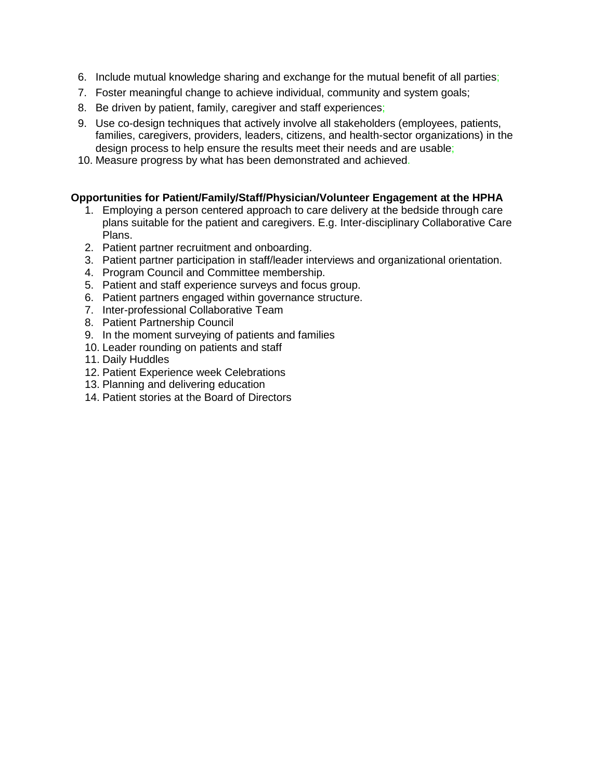- 6. Include mutual knowledge sharing and exchange for the mutual benefit of all parties;
- 7. Foster meaningful change to achieve individual, community and system goals;
- 8. Be driven by patient, family, caregiver and staff experiences;
- 9. Use co-design techniques that actively involve all stakeholders (employees, patients, families, caregivers, providers, leaders, citizens, and health-sector organizations) in the design process to help ensure the results meet their needs and are usable;
- 10. Measure progress by what has been demonstrated and achieved.

# **Opportunities for Patient/Family/Staff/Physician/Volunteer Engagement at the HPHA**

- 1. Employing a person centered approach to care delivery at the bedside through care plans suitable for the patient and caregivers. E.g. Inter-disciplinary Collaborative Care Plans.
- 2. Patient partner recruitment and onboarding.
- 3. Patient partner participation in staff/leader interviews and organizational orientation.
- 4. Program Council and Committee membership.
- 5. Patient and staff experience surveys and focus group.
- 6. Patient partners engaged within governance structure.
- 7. Inter-professional Collaborative Team
- 8. Patient Partnership Council
- 9. In the moment surveying of patients and families
- 10. Leader rounding on patients and staff
- 11. Daily Huddles
- 12. Patient Experience week Celebrations
- 13. Planning and delivering education
- 14. Patient stories at the Board of Directors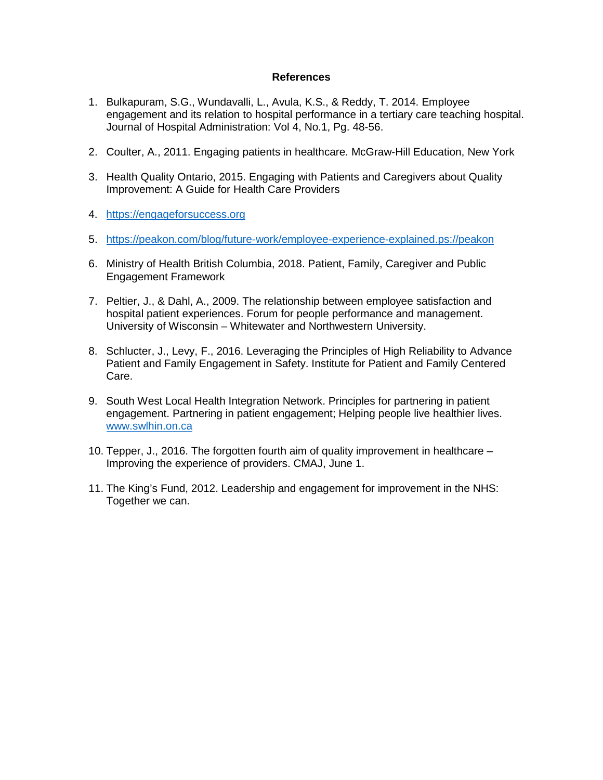#### **References**

- 1. Bulkapuram, S.G., Wundavalli, L., Avula, K.S., & Reddy, T. 2014. Employee engagement and its relation to hospital performance in a tertiary care teaching hospital. Journal of Hospital Administration: Vol 4, No.1, Pg. 48-56.
- 2. Coulter, A., 2011. Engaging patients in healthcare. McGraw-Hill Education, New York
- 3. Health Quality Ontario, 2015. Engaging with Patients and Caregivers about Quality Improvement: A Guide for Health Care Providers
- 4. [https://engageforsuccess.org](https://engageforsuccess.org/)
- 5. [https://peakon.com/blog/future-work/employee-experience-explained.ps://peakon](https://peakon.com/blog/future-work/employee-experience-explained.ps:/peakon)
- 6. Ministry of Health British Columbia, 2018. Patient, Family, Caregiver and Public Engagement Framework
- 7. Peltier, J., & Dahl, A., 2009. The relationship between employee satisfaction and hospital patient experiences. Forum for people performance and management. University of Wisconsin – Whitewater and Northwestern University.
- 8. Schlucter, J., Levy, F., 2016. Leveraging the Principles of High Reliability to Advance Patient and Family Engagement in Safety. Institute for Patient and Family Centered Care.
- 9. South West Local Health Integration Network. Principles for partnering in patient engagement. Partnering in patient engagement; Helping people live healthier lives. [www.swlhin.on.ca](http://www.swlhin.on.ca/)
- 10. Tepper, J., 2016. The forgotten fourth aim of quality improvement in healthcare Improving the experience of providers. CMAJ, June 1.
- 11. The King's Fund, 2012. Leadership and engagement for improvement in the NHS: Together we can.